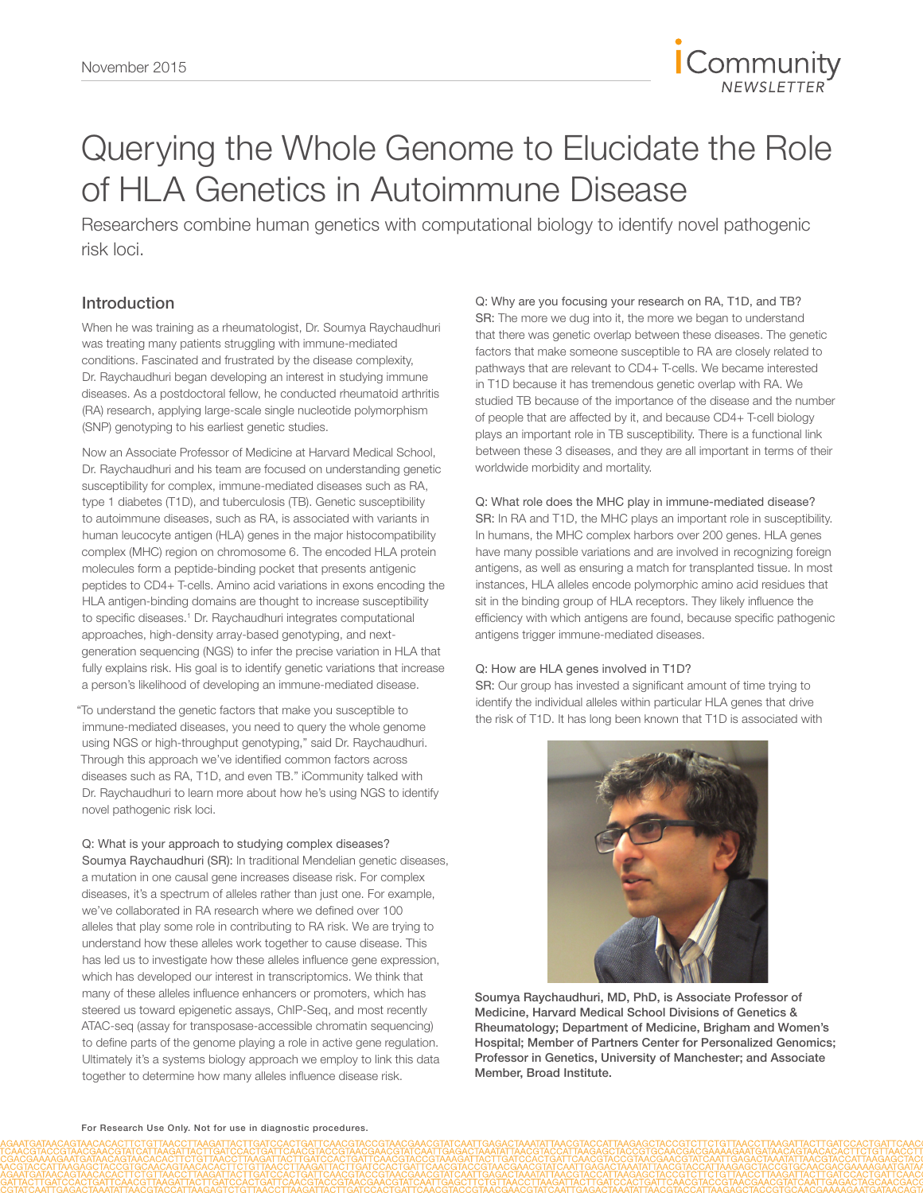

# Querying the Whole Genome to Elucidate the Role of HLA Genetics in Autoimmune Disease

Researchers combine human genetics with computational biology to identify novel pathogenic risk loci.

## Introduction

When he was training as a rheumatologist, Dr. Soumya Raychaudhuri was treating many patients struggling with immune-mediated conditions. Fascinated and frustrated by the disease complexity, Dr. Raychaudhuri began developing an interest in studying immune diseases. As a postdoctoral fellow, he conducted rheumatoid arthritis (RA) research, applying large-scale single nucleotide polymorphism (SNP) genotyping to his earliest genetic studies.

Now an Associate Professor of Medicine at Harvard Medical School, Dr. Raychaudhuri and his team are focused on understanding genetic susceptibility for complex, immune-mediated diseases such as RA, type 1 diabetes (T1D), and tuberculosis (TB). Genetic susceptibility to autoimmune diseases, such as RA, is associated with variants in human leucocyte antigen (HLA) genes in the major histocompatibility complex (MHC) region on chromosome 6. The encoded HLA protein molecules form a peptide-binding pocket that presents antigenic peptides to CD4+ T-cells. Amino acid variations in exons encoding the HLA antigen-binding domains are thought to increase susceptibility to specific diseases.<sup>1</sup> Dr. Raychaudhuri integrates computational approaches, high-density array-based genotyping, and nextgeneration sequencing (NGS) to infer the precise variation in HLA that fully explains risk. His goal is to identify genetic variations that increase a person's likelihood of developing an immune-mediated disease.

"To understand the genetic factors that make you susceptible to immune-mediated diseases, you need to query the whole genome using NGS or high-throughput genotyping," said Dr. Raychaudhuri. Through this approach we've identified common factors across diseases such as RA, T1D, and even TB." iCommunity talked with Dr. Raychaudhuri to learn more about how he's using NGS to identify novel pathogenic risk loci.

#### Q: What is your approach to studying complex diseases?

Soumya Raychaudhuri (SR): In traditional Mendelian genetic diseases, a mutation in one causal gene increases disease risk. For complex diseases, it's a spectrum of alleles rather than just one. For example, we've collaborated in RA research where we defined over 100 alleles that play some role in contributing to RA risk. We are trying to understand how these alleles work together to cause disease. This has led us to investigate how these alleles influence gene expression, which has developed our interest in transcriptomics. We think that many of these alleles influence enhancers or promoters, which has steered us toward epigenetic assays, ChIP-Seq, and most recently ATAC-seq (assay for transposase-accessible chromatin sequencing) to define parts of the genome playing a role in active gene regulation. Ultimately it's a systems biology approach we employ to link this data together to determine how many alleles influence disease risk.

Q: Why are you focusing your research on RA, T1D, and TB? SR: The more we dug into it, the more we began to understand that there was genetic overlap between these diseases. The genetic factors that make someone susceptible to RA are closely related to pathways that are relevant to CD4+ T-cells. We became interested in T1D because it has tremendous genetic overlap with RA. We studied TB because of the importance of the disease and the number of people that are affected by it, and because CD4+ T-cell biology plays an important role in TB susceptibility. There is a functional link between these 3 diseases, and they are all important in terms of their worldwide morbidity and mortality.

#### Q: What role does the MHC play in immune-mediated disease?

SR: In RA and T1D, the MHC plays an important role in susceptibility. In humans, the MHC complex harbors over 200 genes. HLA genes have many possible variations and are involved in recognizing foreign antigens, as well as ensuring a match for transplanted tissue. In most instances, HLA alleles encode polymorphic amino acid residues that sit in the binding group of HLA receptors. They likely influence the efficiency with which antigens are found, because specific pathogenic antigens trigger immune-mediated diseases.

#### Q: How are HLA genes involved in T1D?

SR: Our group has invested a significant amount of time trying to identify the individual alleles within particular HLA genes that drive the risk of T1D. It has long been known that T1D is associated with



Soumya Raychaudhuri, MD, PhD, is Associate Professor of Medicine, Harvard Medical School Divisions of Genetics & Rheumatology; Department of Medicine, Brigham and Women's Hospital; Member of Partners Center for Personalized Genomics; Professor in Genetics, University of Manchester; and Associate Member, Broad Institute.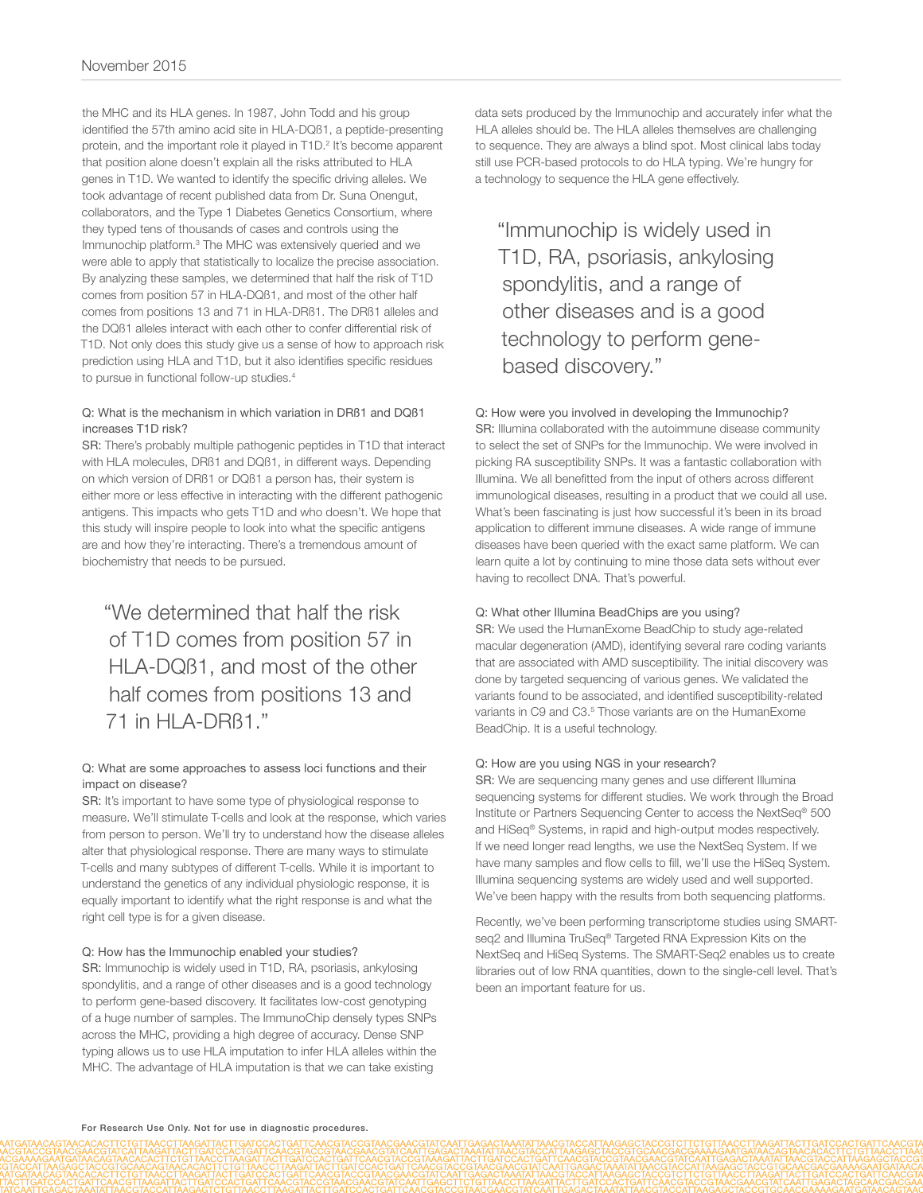the MHC and its HLA genes. In 1987, John Todd and his group identified the 57th amino acid site in HLA-DQß1, a peptide-presenting protein, and the important role it played in T1D.<sup>2</sup> It's become apparent that position alone doesn't explain all the risks attributed to HLA genes in T1D. We wanted to identify the specific driving alleles. We took advantage of recent published data from Dr. Suna Onengut, collaborators, and the Type 1 Diabetes Genetics Consortium, where they typed tens of thousands of cases and controls using the Immunochip platform.<sup>3</sup> The MHC was extensively queried and we were able to apply that statistically to localize the precise association. By analyzing these samples, we determined that half the risk of T1D comes from position 57 in HLA-DQß1, and most of the other half comes from positions 13 and 71 in HLA-DRß1. The DRß1 alleles and the DQß1 alleles interact with each other to confer differential risk of T1D. Not only does this study give us a sense of how to approach risk prediction using HLA and T1D, but it also identifies specific residues to pursue in functional follow-up studies.<sup>4</sup>

#### Q: What is the mechanism in which variation in DRß1 and DQß1 increases T1D risk?

SR: There's probably multiple pathogenic peptides in T1D that interact with HLA molecules, DRß1 and DQß1, in different ways. Depending on which version of DRß1 or DQß1 a person has, their system is either more or less effective in interacting with the different pathogenic antigens. This impacts who gets T1D and who doesn't. We hope that this study will inspire people to look into what the specific antigens are and how they're interacting. There's a tremendous amount of biochemistry that needs to be pursued.

"We determined that half the risk of T1D comes from position 57 in HLA-DQß1, and most of the other half comes from positions 13 and 71 in HLA-DRß1."

#### Q: What are some approaches to assess loci functions and their impact on disease?

SR: It's important to have some type of physiological response to measure. We'll stimulate T-cells and look at the response, which varies from person to person. We'll try to understand how the disease alleles alter that physiological response. There are many ways to stimulate T-cells and many subtypes of different T-cells. While it is important to understand the genetics of any individual physiologic response, it is equally important to identify what the right response is and what the right cell type is for a given disease.

#### Q: How has the Immunochip enabled your studies?

SR: Immunochip is widely used in T1D, RA, psoriasis, ankylosing spondylitis, and a range of other diseases and is a good technology to perform gene-based discovery. It facilitates low-cost genotyping of a huge number of samples. The ImmunoChip densely types SNPs across the MHC, providing a high degree of accuracy. Dense SNP typing allows us to use HLA imputation to infer HLA alleles within the MHC. The advantage of HLA imputation is that we can take existing

data sets produced by the Immunochip and accurately infer what the HLA alleles should be. The HLA alleles themselves are challenging to sequence. They are always a blind spot. Most clinical labs today still use PCR-based protocols to do HLA typing. We're hungry for a technology to sequence the HLA gene effectively.

"Immunochip is widely used in T1D, RA, psoriasis, ankylosing spondylitis, and a range of other diseases and is a good technology to perform genebased discovery."

#### Q: How were you involved in developing the Immunochip?

SR: Illumina collaborated with the autoimmune disease community to select the set of SNPs for the Immunochip. We were involved in picking RA susceptibility SNPs. It was a fantastic collaboration with Illumina. We all benefitted from the input of others across different immunological diseases, resulting in a product that we could all use. What's been fascinating is just how successful it's been in its broad application to different immune diseases. A wide range of immune diseases have been queried with the exact same platform. We can learn quite a lot by continuing to mine those data sets without ever having to recollect DNA. That's powerful.

#### Q: What other Illumina BeadChips are you using?

SR: We used the HumanExome BeadChip to study age-related macular degeneration (AMD), identifying several rare coding variants that are associated with AMD susceptibility. The initial discovery was done by targeted sequencing of various genes. We validated the variants found to be associated, and identified susceptibility-related variants in C9 and C3.<sup>5</sup> Those variants are on the HumanExome BeadChip. It is a useful technology.

#### Q: How are you using NGS in your research?

SR: We are sequencing many genes and use different Illumina sequencing systems for different studies. We work through the Broad Institute or Partners Sequencing Center to access the NextSeq® 500 and HiSeq® Systems, in rapid and high-output modes respectively. If we need longer read lengths, we use the NextSeq System. If we have many samples and flow cells to fill, we'll use the HiSeq System. Illumina sequencing systems are widely used and well supported. We've been happy with the results from both sequencing platforms.

Recently, we've been performing transcriptome studies using SMARTseq2 and Illumina TruSeq® Targeted RNA Expression Kits on the NextSeq and HiSeq Systems. The SMART-Seq2 enables us to create libraries out of low RNA quantities, down to the single-cell level. That's been an important feature for us.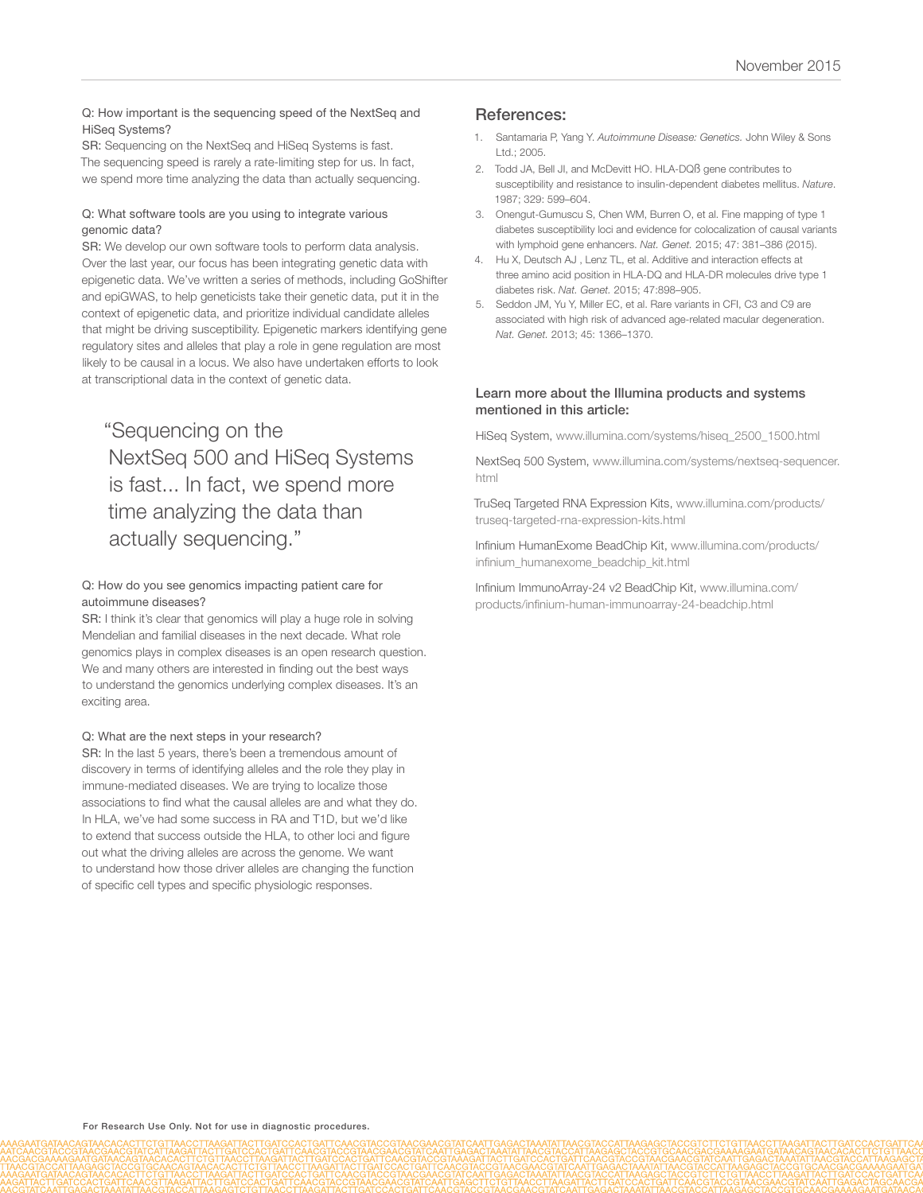#### Q: How important is the sequencing speed of the NextSeq and HiSeq Systems?

SR: Sequencing on the NextSeq and HiSeq Systems is fast. The sequencing speed is rarely a rate-limiting step for us. In fact, we spend more time analyzing the data than actually sequencing.

#### Q: What software tools are you using to integrate various genomic data?

SR: We develop our own software tools to perform data analysis. Over the last year, our focus has been integrating genetic data with epigenetic data. We've written a series of methods, including GoShifter and epiGWAS, to help geneticists take their genetic data, put it in the context of epigenetic data, and prioritize individual candidate alleles that might be driving susceptibility. Epigenetic markers identifying gene regulatory sites and alleles that play a role in gene regulation are most likely to be causal in a locus. We also have undertaken efforts to look at transcriptional data in the context of genetic data.

# "Sequencing on the NextSeq 500 and HiSeq Systems is fast... In fact, we spend more time analyzing the data than actually sequencing."

#### Q: How do you see genomics impacting patient care for autoimmune diseases?

SR: I think it's clear that genomics will play a huge role in solving Mendelian and familial diseases in the next decade. What role genomics plays in complex diseases is an open research question. We and many others are interested in finding out the best ways to understand the genomics underlying complex diseases. It's an exciting area.

#### Q: What are the next steps in your research?

SR: In the last 5 years, there's been a tremendous amount of discovery in terms of identifying alleles and the role they play in immune-mediated diseases. We are trying to localize those associations to find what the causal alleles are and what they do. In HLA, we've had some success in RA and T1D, but we'd like to extend that success outside the HLA, to other loci and figure out what the driving alleles are across the genome. We want to understand how those driver alleles are changing the function of specific cell types and specific physiologic responses.

### References:

- 1. Santamaria P, Yang Y. *[Autoimmune Disease: Genetics.](http://onlinelibrary.wiley.com/doi/10.1038/npg.els.0004006/abstract)* John Wiley & Sons [Ltd.; 2005.](http://onlinelibrary.wiley.com/doi/10.1038/npg.els.0004006/abstract)
- 2. [Todd JA, Bell JI, and McDevitt HO. HLA-DQß gene contributes to](http://www.ncbi.nlm.nih.gov/pubmed/3309680)  [susceptibility and resistance to insulin-dependent diabetes mellitus.](http://www.ncbi.nlm.nih.gov/pubmed/3309680) *Nature*. [1987; 329: 599–604.](http://www.ncbi.nlm.nih.gov/pubmed/3309680)
- 3. [Onengut-Gumuscu S, Chen WM, Burren O, et al. Fine mapping of type 1](http://www.ncbi.nlm.nih.gov/pubmed/25751624)  [diabetes susceptibility loci and evidence for colocalization of causal variants](http://www.ncbi.nlm.nih.gov/pubmed/25751624)  [with lymphoid gene enhancers.](http://www.ncbi.nlm.nih.gov/pubmed/25751624) *Nat. Genet.* 2015; 47: 381–386 (2015).
- 4. [Hu X, Deutsch AJ , Lenz TL, et al. Additive and interaction effects at](http://www.ncbi.nlm.nih.gov/pubmed/26168013)  [three amino acid position in HLA-DQ and HLA-DR molecules drive type 1](http://www.ncbi.nlm.nih.gov/pubmed/26168013)  diabetes risk. *Nat. Genet.* [2015; 47:898–905.](http://www.ncbi.nlm.nih.gov/pubmed/26168013)
- 5. [Seddon JM, Yu Y, Miller EC, et al. Rare variants in CFI, C3 and C9 are](http://www.ncbi.nlm.nih.gov/pubmed/24036952)  [associated with high risk of advanced age-related macular degeneration.](http://www.ncbi.nlm.nih.gov/pubmed/24036952)  *Nat. Genet.* [2013; 45: 1366–1370.](http://www.ncbi.nlm.nih.gov/pubmed/24036952)

#### Learn more about the Illumina products and systems mentioned in this article:

[HiSeq System, www.illumina.com/systems/hiseq\\_2500\\_1500.html](http://www.illumina.com/systems/hiseq_2500_1500.html)

[NextSeq 500 System, www.illumina.com/systems/nextseq-sequencer.](http://www.illumina.com/systems/nextseq-sequencer.html) [html](http://www.illumina.com/systems/nextseq-sequencer.html)

[TruSeq Targeted RNA Expression Kits, www.illumina.com/products/](http://www.illumina.com/products/truseq-targeted-rna-expression-kits.html) [truseq-targeted-rna-expression-kits.html](http://www.illumina.com/products/truseq-targeted-rna-expression-kits.html)

[Infinium HumanExome BeadChip Kit, www.illumina.com/products/](http://www.illumina.com/products/infinium_humanexome_beadchip_kit.html) [infinium\\_humanexome\\_beadchip\\_kit.html](http://www.illumina.com/products/infinium_humanexome_beadchip_kit.html)

[Infinium ImmunoArray-24 v2 BeadChip Kit, www.illumina.com/](http://www.illumina.com/products/infinium-human-immunoarray-24-beadchip.html) [products/infinium-human-immunoarray-24-beadchip.html](http://www.illumina.com/products/infinium-human-immunoarray-24-beadchip.html)